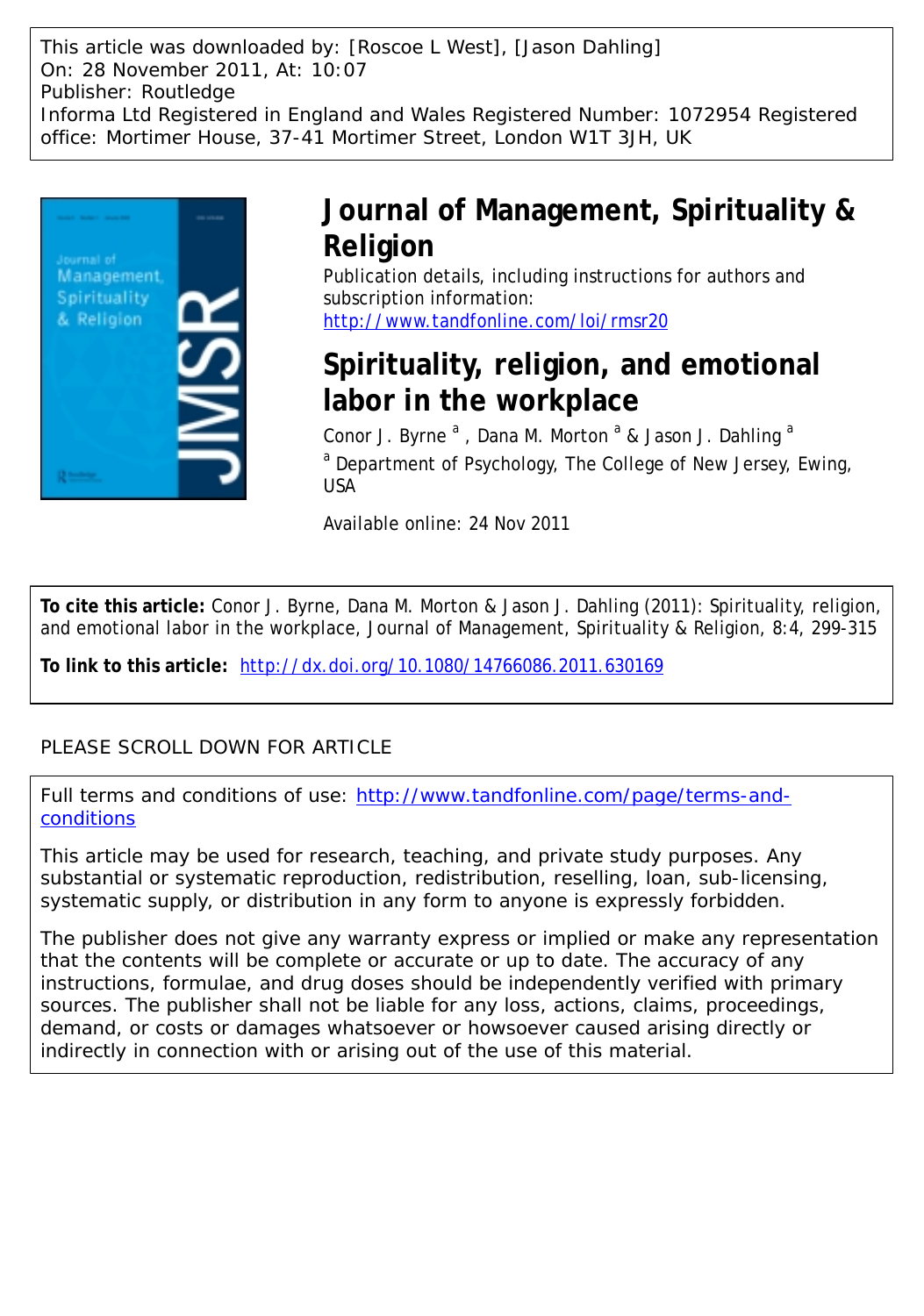This article was downloaded by: [Roscoe L West], [Jason Dahling] On: 28 November 2011, At: 10:07 Publisher: Routledge Informa Ltd Registered in England and Wales Registered Number: 1072954 Registered office: Mortimer House, 37-41 Mortimer Street, London W1T 3JH, UK



# **Journal of Management, Spirituality & Religion**

Publication details, including instructions for authors and subscription information: <http://www.tandfonline.com/loi/rmsr20>

# **Spirituality, religion, and emotional labor in the workplace**

Conor J. Byrne<sup>a</sup>, Dana M. Morton<sup>a</sup> & Jason J. Dahling<sup>a</sup> <sup>a</sup> Department of Psychology, The College of New Jersey, Ewing, USA

Available online: 24 Nov 2011

**To cite this article:** Conor J. Byrne, Dana M. Morton & Jason J. Dahling (2011): Spirituality, religion, and emotional labor in the workplace, Journal of Management, Spirituality & Religion, 8:4, 299-315

**To link to this article:** <http://dx.doi.org/10.1080/14766086.2011.630169>

## PLEASE SCROLL DOWN FOR ARTICLE

Full terms and conditions of use: [http://www.tandfonline.com/page/terms-and](http://www.tandfonline.com/page/terms-and-conditions)[conditions](http://www.tandfonline.com/page/terms-and-conditions)

This article may be used for research, teaching, and private study purposes. Any substantial or systematic reproduction, redistribution, reselling, loan, sub-licensing, systematic supply, or distribution in any form to anyone is expressly forbidden.

The publisher does not give any warranty express or implied or make any representation that the contents will be complete or accurate or up to date. The accuracy of any instructions, formulae, and drug doses should be independently verified with primary sources. The publisher shall not be liable for any loss, actions, claims, proceedings, demand, or costs or damages whatsoever or howsoever caused arising directly or indirectly in connection with or arising out of the use of this material.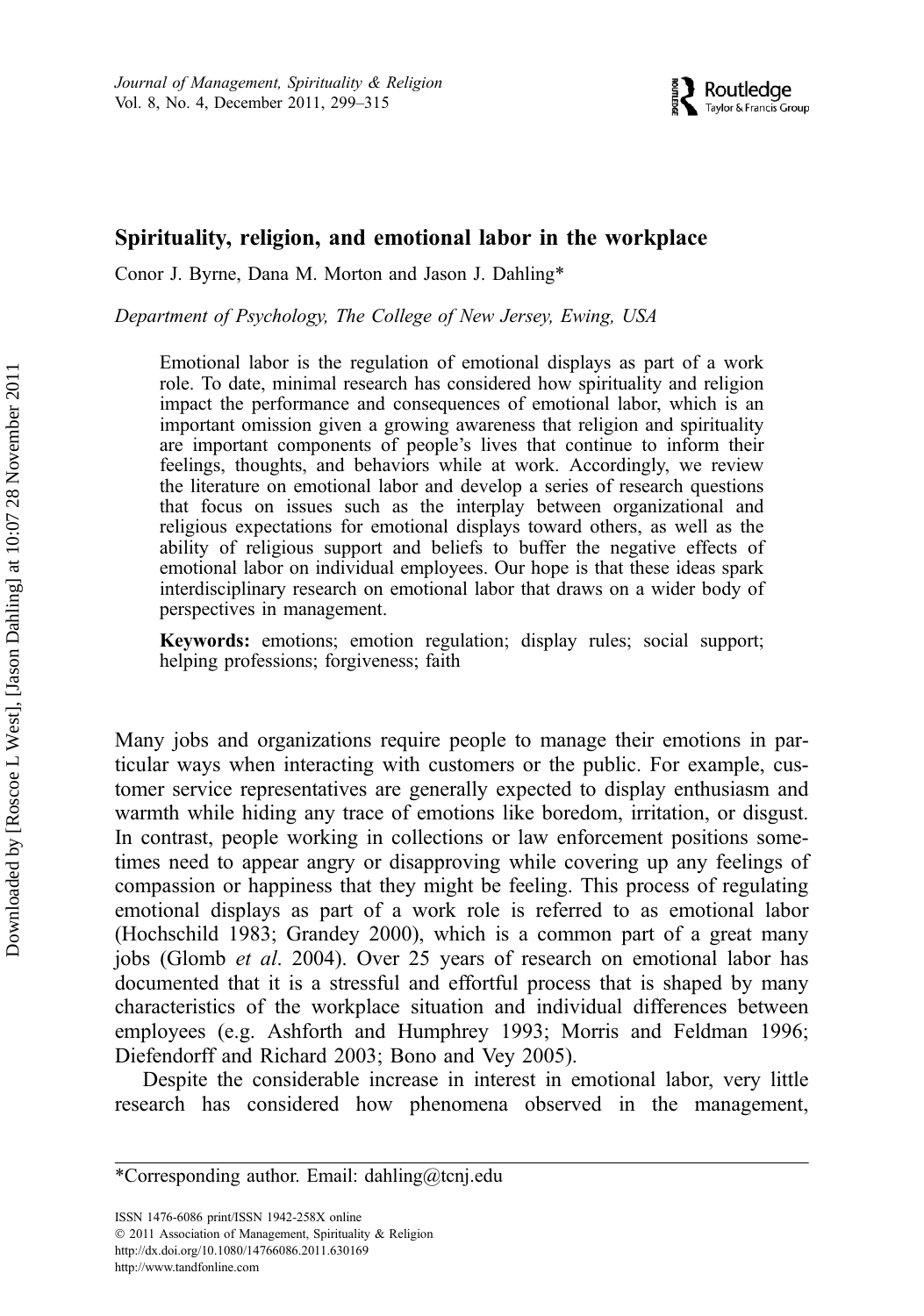## Spirituality, religion, and emotional labor in the workplace

Conor J. Byrne, Dana M. Morton and Jason J. Dahling\*

Department of Psychology, The College of New Jersey, Ewing, USA

Emotional labor is the regulation of emotional displays as part of a work role. To date, minimal research has considered how spirituality and religion impact the performance and consequences of emotional labor, which is an important omission given a growing awareness that religion and spirituality are important components of people's lives that continue to inform their feelings, thoughts, and behaviors while at work. Accordingly, we review the literature on emotional labor and develop a series of research questions that focus on issues such as the interplay between organizational and religious expectations for emotional displays toward others, as well as the ability of religious support and beliefs to buffer the negative effects of emotional labor on individual employees. Our hope is that these ideas spark interdisciplinary research on emotional labor that draws on a wider body of perspectives in management.

Keywords: emotions; emotion regulation; display rules; social support; helping professions; forgiveness; faith

Many jobs and organizations require people to manage their emotions in particular ways when interacting with customers or the public. For example, customer service representatives are generally expected to display enthusiasm and warmth while hiding any trace of emotions like boredom, irritation, or disgust. In contrast, people working in collections or law enforcement positions sometimes need to appear angry or disapproving while covering up any feelings of compassion or happiness that they might be feeling. This process of regulating emotional displays as part of a work role is referred to as emotional labor (Hochschild 1983; Grandey 2000), which is a common part of a great many jobs (Glomb et al. 2004). Over 25 years of research on emotional labor has documented that it is a stressful and effortful process that is shaped by many characteristics of the workplace situation and individual differences between employees (e.g. Ashforth and Humphrey 1993; Morris and Feldman 1996; Diefendorff and Richard 2003; Bono and Vey 2005).

Despite the considerable increase in interest in emotional labor, very little research has considered how phenomena observed in the management,

ISSN 1476-6086 print/ISSN 1942-258X online 2011 Association of Management, Spirituality & Religion http://dx.doi.org/10.1080/14766086.2011.630169 http://www.tandfonline.com

<sup>\*</sup>Corresponding author. Email: dahling@tcnj.edu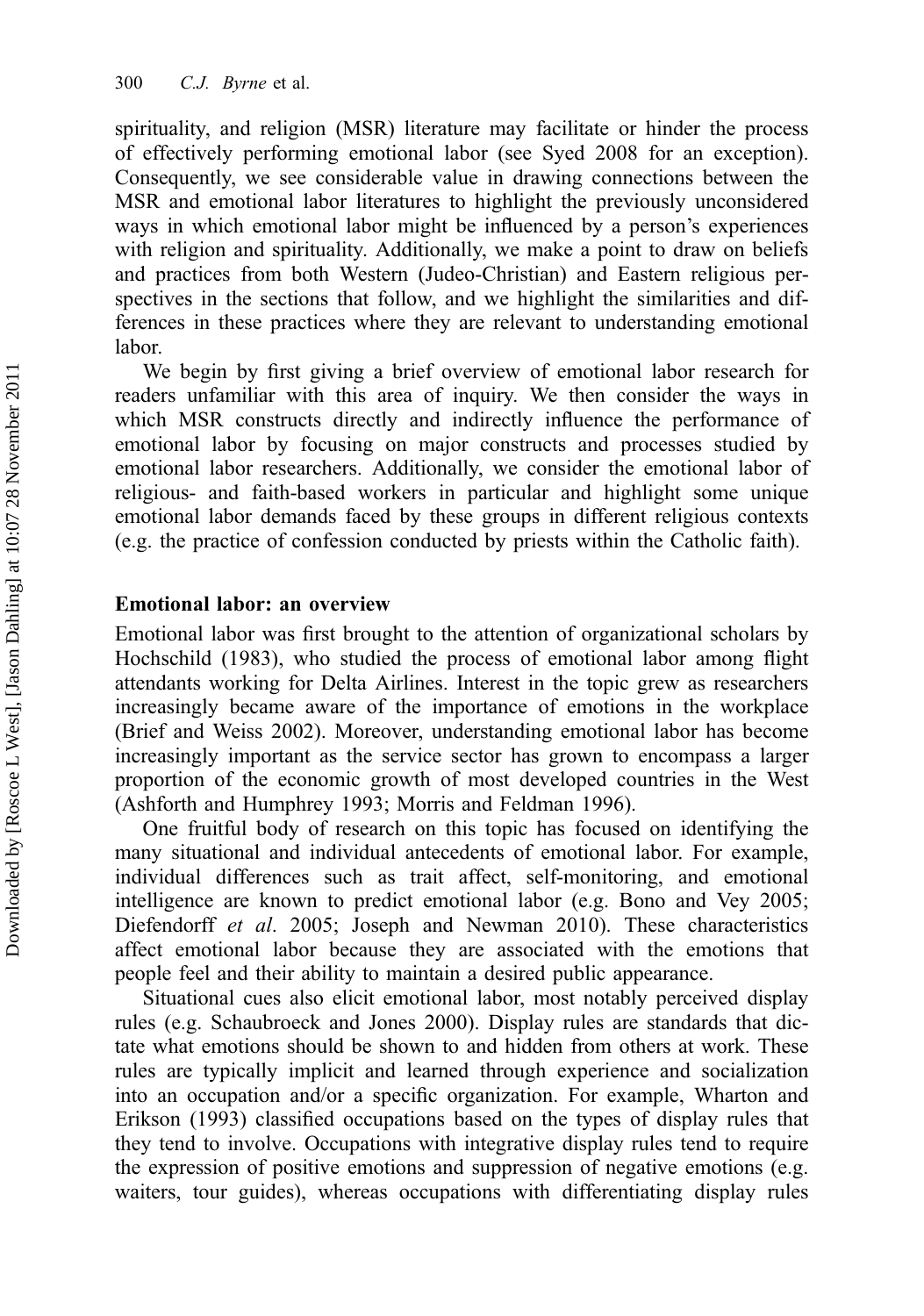spirituality, and religion (MSR) literature may facilitate or hinder the process of effectively performing emotional labor (see Syed 2008 for an exception). Consequently, we see considerable value in drawing connections between the MSR and emotional labor literatures to highlight the previously unconsidered ways in which emotional labor might be influenced by a person's experiences with religion and spirituality. Additionally, we make a point to draw on beliefs and practices from both Western (Judeo-Christian) and Eastern religious perspectives in the sections that follow, and we highlight the similarities and differences in these practices where they are relevant to understanding emotional labor.

We begin by first giving a brief overview of emotional labor research for readers unfamiliar with this area of inquiry. We then consider the ways in which MSR constructs directly and indirectly influence the performance of emotional labor by focusing on major constructs and processes studied by emotional labor researchers. Additionally, we consider the emotional labor of religious- and faith-based workers in particular and highlight some unique emotional labor demands faced by these groups in different religious contexts (e.g. the practice of confession conducted by priests within the Catholic faith).

#### Emotional labor: an overview

Emotional labor was first brought to the attention of organizational scholars by Hochschild (1983), who studied the process of emotional labor among flight attendants working for Delta Airlines. Interest in the topic grew as researchers increasingly became aware of the importance of emotions in the workplace (Brief and Weiss 2002). Moreover, understanding emotional labor has become increasingly important as the service sector has grown to encompass a larger proportion of the economic growth of most developed countries in the West (Ashforth and Humphrey 1993; Morris and Feldman 1996).

One fruitful body of research on this topic has focused on identifying the many situational and individual antecedents of emotional labor. For example, individual differences such as trait affect, self-monitoring, and emotional intelligence are known to predict emotional labor (e.g. Bono and Vey 2005; Diefendorff et al. 2005; Joseph and Newman 2010). These characteristics affect emotional labor because they are associated with the emotions that people feel and their ability to maintain a desired public appearance.

Situational cues also elicit emotional labor, most notably perceived display rules (e.g. Schaubroeck and Jones 2000). Display rules are standards that dictate what emotions should be shown to and hidden from others at work. These rules are typically implicit and learned through experience and socialization into an occupation and/or a specific organization. For example, Wharton and Erikson (1993) classified occupations based on the types of display rules that they tend to involve. Occupations with integrative display rules tend to require the expression of positive emotions and suppression of negative emotions (e.g. waiters, tour guides), whereas occupations with differentiating display rules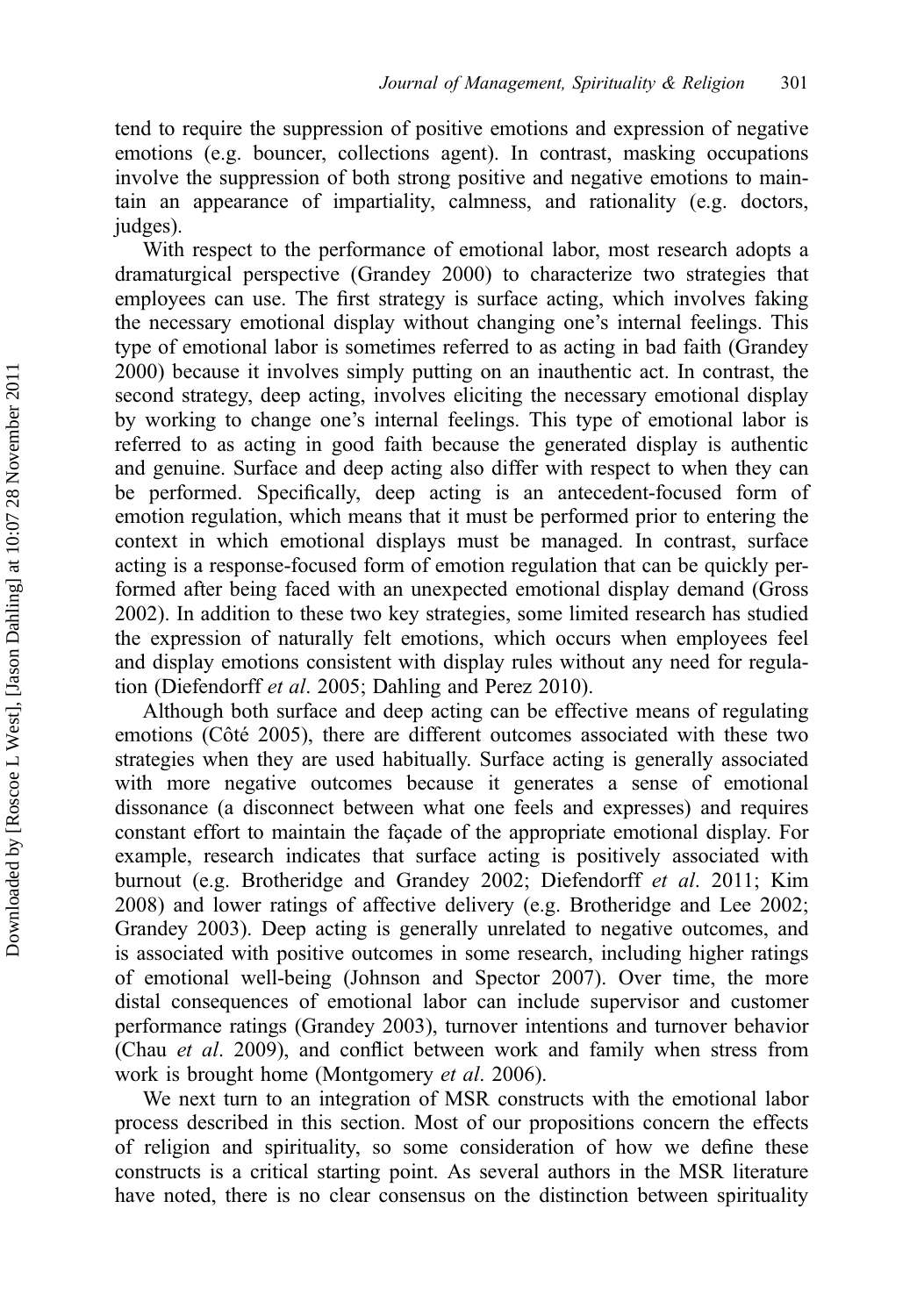tend to require the suppression of positive emotions and expression of negative emotions (e.g. bouncer, collections agent). In contrast, masking occupations involve the suppression of both strong positive and negative emotions to maintain an appearance of impartiality, calmness, and rationality (e.g. doctors, judges).

With respect to the performance of emotional labor, most research adopts a dramaturgical perspective (Grandey 2000) to characterize two strategies that employees can use. The first strategy is surface acting, which involves faking the necessary emotional display without changing one's internal feelings. This type of emotional labor is sometimes referred to as acting in bad faith (Grandey 2000) because it involves simply putting on an inauthentic act. In contrast, the second strategy, deep acting, involves eliciting the necessary emotional display by working to change one's internal feelings. This type of emotional labor is referred to as acting in good faith because the generated display is authentic and genuine. Surface and deep acting also differ with respect to when they can be performed. Specifically, deep acting is an antecedent-focused form of emotion regulation, which means that it must be performed prior to entering the context in which emotional displays must be managed. In contrast, surface acting is a response-focused form of emotion regulation that can be quickly performed after being faced with an unexpected emotional display demand (Gross 2002). In addition to these two key strategies, some limited research has studied the expression of naturally felt emotions, which occurs when employees feel and display emotions consistent with display rules without any need for regulation (Diefendorff et al. 2005; Dahling and Perez 2010).

Although both surface and deep acting can be effective means of regulating emotions (Côté 2005), there are different outcomes associated with these two strategies when they are used habitually. Surface acting is generally associated with more negative outcomes because it generates a sense of emotional dissonance (a disconnect between what one feels and expresses) and requires constant effort to maintain the façade of the appropriate emotional display. For example, research indicates that surface acting is positively associated with burnout (e.g. Brotheridge and Grandey 2002; Diefendorff et al. 2011; Kim 2008) and lower ratings of affective delivery (e.g. Brotheridge and Lee 2002; Grandey 2003). Deep acting is generally unrelated to negative outcomes, and is associated with positive outcomes in some research, including higher ratings of emotional well-being (Johnson and Spector 2007). Over time, the more distal consequences of emotional labor can include supervisor and customer performance ratings (Grandey 2003), turnover intentions and turnover behavior (Chau et al. 2009), and conflict between work and family when stress from work is brought home (Montgomery *et al.* 2006).

We next turn to an integration of MSR constructs with the emotional labor process described in this section. Most of our propositions concern the effects of religion and spirituality, so some consideration of how we define these constructs is a critical starting point. As several authors in the MSR literature have noted, there is no clear consensus on the distinction between spirituality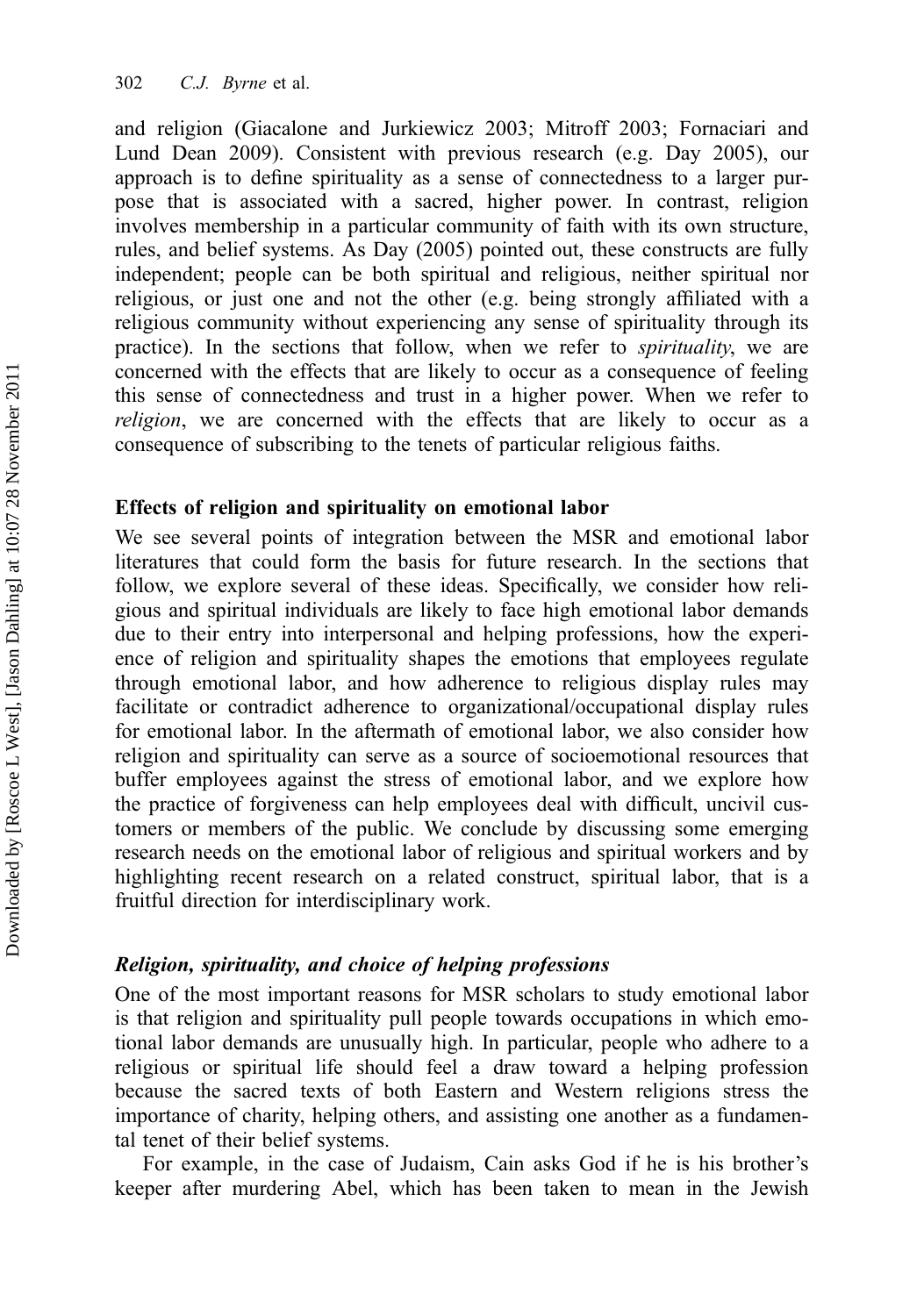and religion (Giacalone and Jurkiewicz 2003; Mitroff 2003; Fornaciari and Lund Dean 2009). Consistent with previous research (e.g. Day 2005), our approach is to define spirituality as a sense of connectedness to a larger purpose that is associated with a sacred, higher power. In contrast, religion involves membership in a particular community of faith with its own structure, rules, and belief systems. As Day (2005) pointed out, these constructs are fully independent; people can be both spiritual and religious, neither spiritual nor religious, or just one and not the other (e.g. being strongly affiliated with a religious community without experiencing any sense of spirituality through its practice). In the sections that follow, when we refer to *spirituality*, we are concerned with the effects that are likely to occur as a consequence of feeling this sense of connectedness and trust in a higher power. When we refer to religion, we are concerned with the effects that are likely to occur as a consequence of subscribing to the tenets of particular religious faiths.

### Effects of religion and spirituality on emotional labor

We see several points of integration between the MSR and emotional labor literatures that could form the basis for future research. In the sections that follow, we explore several of these ideas. Specifically, we consider how religious and spiritual individuals are likely to face high emotional labor demands due to their entry into interpersonal and helping professions, how the experience of religion and spirituality shapes the emotions that employees regulate through emotional labor, and how adherence to religious display rules may facilitate or contradict adherence to organizational/occupational display rules for emotional labor. In the aftermath of emotional labor, we also consider how religion and spirituality can serve as a source of socioemotional resources that buffer employees against the stress of emotional labor, and we explore how the practice of forgiveness can help employees deal with difficult, uncivil customers or members of the public. We conclude by discussing some emerging research needs on the emotional labor of religious and spiritual workers and by highlighting recent research on a related construct, spiritual labor, that is a fruitful direction for interdisciplinary work.

## Religion, spirituality, and choice of helping professions

One of the most important reasons for MSR scholars to study emotional labor is that religion and spirituality pull people towards occupations in which emotional labor demands are unusually high. In particular, people who adhere to a religious or spiritual life should feel a draw toward a helping profession because the sacred texts of both Eastern and Western religions stress the importance of charity, helping others, and assisting one another as a fundamental tenet of their belief systems.

For example, in the case of Judaism, Cain asks God if he is his brother's keeper after murdering Abel, which has been taken to mean in the Jewish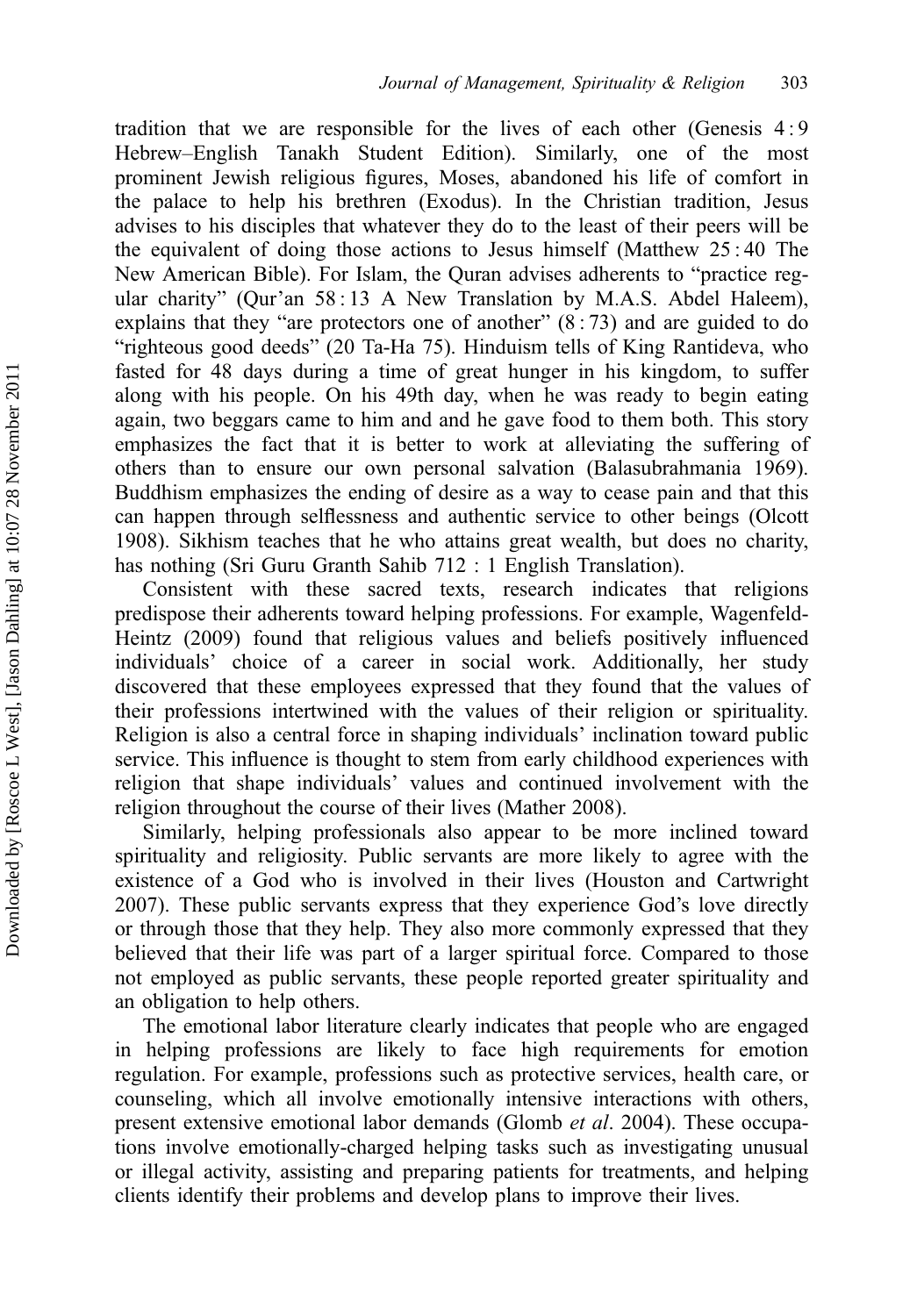tradition that we are responsible for the lives of each other (Genesis 4 : 9 Hebrew–English Tanakh Student Edition). Similarly, one of the most prominent Jewish religious figures, Moses, abandoned his life of comfort in the palace to help his brethren (Exodus). In the Christian tradition, Jesus advises to his disciples that whatever they do to the least of their peers will be the equivalent of doing those actions to Jesus himself (Matthew 25 : 40 The New American Bible). For Islam, the Quran advises adherents to "practice regular charity" (Qur'an 58 : 13 A New Translation by M.A.S. Abdel Haleem), explains that they "are protectors one of another"  $(8:73)$  and are guided to do "righteous good deeds" (20 Ta-Ha 75). Hinduism tells of King Rantideva, who fasted for 48 days during a time of great hunger in his kingdom, to suffer along with his people. On his 49th day, when he was ready to begin eating again, two beggars came to him and and he gave food to them both. This story emphasizes the fact that it is better to work at alleviating the suffering of others than to ensure our own personal salvation (Balasubrahmania 1969). Buddhism emphasizes the ending of desire as a way to cease pain and that this can happen through selflessness and authentic service to other beings (Olcott 1908). Sikhism teaches that he who attains great wealth, but does no charity, has nothing (Sri Guru Granth Sahib 712 : 1 English Translation).

Consistent with these sacred texts, research indicates that religions predispose their adherents toward helping professions. For example, Wagenfeld-Heintz (2009) found that religious values and beliefs positively influenced individuals' choice of a career in social work. Additionally, her study discovered that these employees expressed that they found that the values of their professions intertwined with the values of their religion or spirituality. Religion is also a central force in shaping individuals' inclination toward public service. This influence is thought to stem from early childhood experiences with religion that shape individuals' values and continued involvement with the religion throughout the course of their lives (Mather 2008).

Similarly, helping professionals also appear to be more inclined toward spirituality and religiosity. Public servants are more likely to agree with the existence of a God who is involved in their lives (Houston and Cartwright 2007). These public servants express that they experience God's love directly or through those that they help. They also more commonly expressed that they believed that their life was part of a larger spiritual force. Compared to those not employed as public servants, these people reported greater spirituality and an obligation to help others.

The emotional labor literature clearly indicates that people who are engaged in helping professions are likely to face high requirements for emotion regulation. For example, professions such as protective services, health care, or counseling, which all involve emotionally intensive interactions with others, present extensive emotional labor demands (Glomb et al. 2004). These occupations involve emotionally-charged helping tasks such as investigating unusual or illegal activity, assisting and preparing patients for treatments, and helping clients identify their problems and develop plans to improve their lives.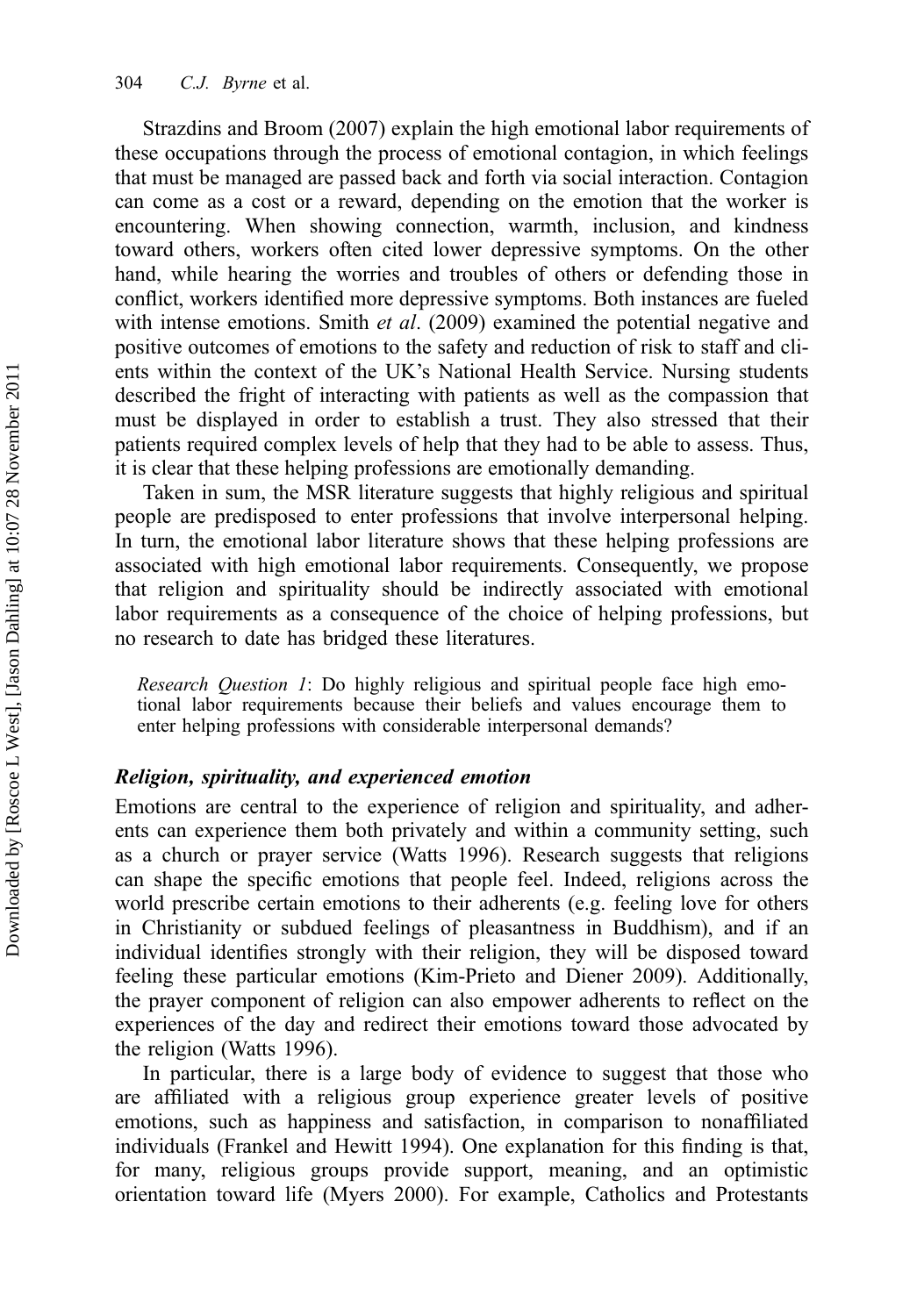Strazdins and Broom (2007) explain the high emotional labor requirements of these occupations through the process of emotional contagion, in which feelings that must be managed are passed back and forth via social interaction. Contagion can come as a cost or a reward, depending on the emotion that the worker is encountering. When showing connection, warmth, inclusion, and kindness toward others, workers often cited lower depressive symptoms. On the other hand, while hearing the worries and troubles of others or defending those in conflict, workers identified more depressive symptoms. Both instances are fueled with intense emotions. Smith *et al.* (2009) examined the potential negative and positive outcomes of emotions to the safety and reduction of risk to staff and clients within the context of the UK's National Health Service. Nursing students described the fright of interacting with patients as well as the compassion that must be displayed in order to establish a trust. They also stressed that their patients required complex levels of help that they had to be able to assess. Thus, it is clear that these helping professions are emotionally demanding.

Taken in sum, the MSR literature suggests that highly religious and spiritual people are predisposed to enter professions that involve interpersonal helping. In turn, the emotional labor literature shows that these helping professions are associated with high emotional labor requirements. Consequently, we propose that religion and spirituality should be indirectly associated with emotional labor requirements as a consequence of the choice of helping professions, but no research to date has bridged these literatures.

Research Question 1: Do highly religious and spiritual people face high emotional labor requirements because their beliefs and values encourage them to enter helping professions with considerable interpersonal demands?

#### Religion, spirituality, and experienced emotion

Emotions are central to the experience of religion and spirituality, and adherents can experience them both privately and within a community setting, such as a church or prayer service (Watts 1996). Research suggests that religions can shape the specific emotions that people feel. Indeed, religions across the world prescribe certain emotions to their adherents (e.g. feeling love for others in Christianity or subdued feelings of pleasantness in Buddhism), and if an individual identifies strongly with their religion, they will be disposed toward feeling these particular emotions (Kim-Prieto and Diener 2009). Additionally, the prayer component of religion can also empower adherents to reflect on the experiences of the day and redirect their emotions toward those advocated by the religion (Watts 1996).

In particular, there is a large body of evidence to suggest that those who are affiliated with a religious group experience greater levels of positive emotions, such as happiness and satisfaction, in comparison to nonaffiliated individuals (Frankel and Hewitt 1994). One explanation for this finding is that, for many, religious groups provide support, meaning, and an optimistic orientation toward life (Myers 2000). For example, Catholics and Protestants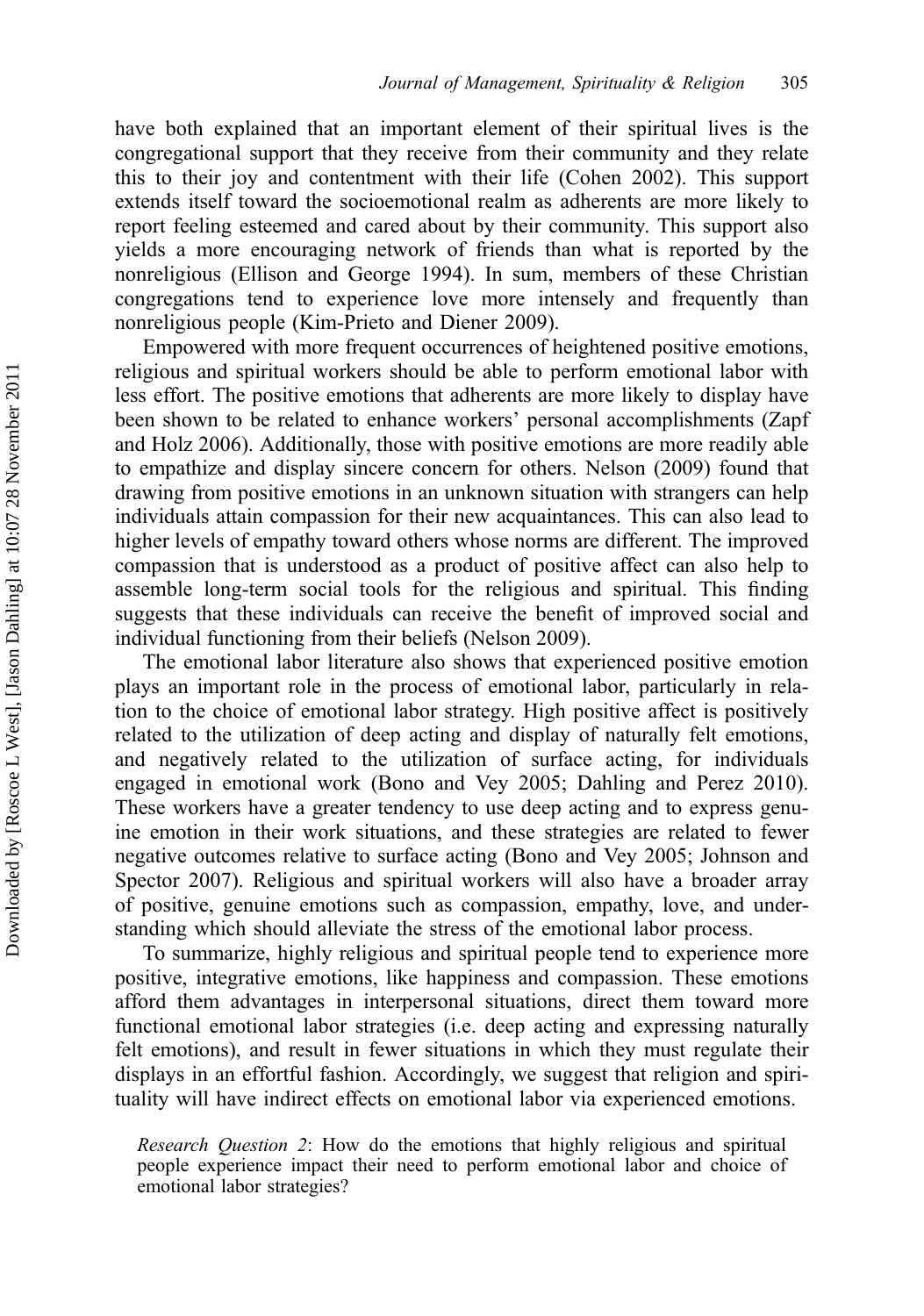have both explained that an important element of their spiritual lives is the congregational support that they receive from their community and they relate this to their joy and contentment with their life (Cohen 2002). This support extends itself toward the socioemotional realm as adherents are more likely to report feeling esteemed and cared about by their community. This support also yields a more encouraging network of friends than what is reported by the nonreligious (Ellison and George 1994). In sum, members of these Christian congregations tend to experience love more intensely and frequently than nonreligious people (Kim-Prieto and Diener 2009).

Empowered with more frequent occurrences of heightened positive emotions, religious and spiritual workers should be able to perform emotional labor with less effort. The positive emotions that adherents are more likely to display have been shown to be related to enhance workers' personal accomplishments (Zapf and Holz 2006). Additionally, those with positive emotions are more readily able to empathize and display sincere concern for others. Nelson (2009) found that drawing from positive emotions in an unknown situation with strangers can help individuals attain compassion for their new acquaintances. This can also lead to higher levels of empathy toward others whose norms are different. The improved compassion that is understood as a product of positive affect can also help to assemble long-term social tools for the religious and spiritual. This finding suggests that these individuals can receive the benefit of improved social and individual functioning from their beliefs (Nelson 2009).

The emotional labor literature also shows that experienced positive emotion plays an important role in the process of emotional labor, particularly in relation to the choice of emotional labor strategy. High positive affect is positively related to the utilization of deep acting and display of naturally felt emotions, and negatively related to the utilization of surface acting, for individuals engaged in emotional work (Bono and Vey 2005; Dahling and Perez 2010). These workers have a greater tendency to use deep acting and to express genuine emotion in their work situations, and these strategies are related to fewer negative outcomes relative to surface acting (Bono and Vey 2005; Johnson and Spector 2007). Religious and spiritual workers will also have a broader array of positive, genuine emotions such as compassion, empathy, love, and understanding which should alleviate the stress of the emotional labor process.

To summarize, highly religious and spiritual people tend to experience more positive, integrative emotions, like happiness and compassion. These emotions afford them advantages in interpersonal situations, direct them toward more functional emotional labor strategies (i.e. deep acting and expressing naturally felt emotions), and result in fewer situations in which they must regulate their displays in an effortful fashion. Accordingly, we suggest that religion and spirituality will have indirect effects on emotional labor via experienced emotions.

Research Question 2: How do the emotions that highly religious and spiritual people experience impact their need to perform emotional labor and choice of emotional labor strategies?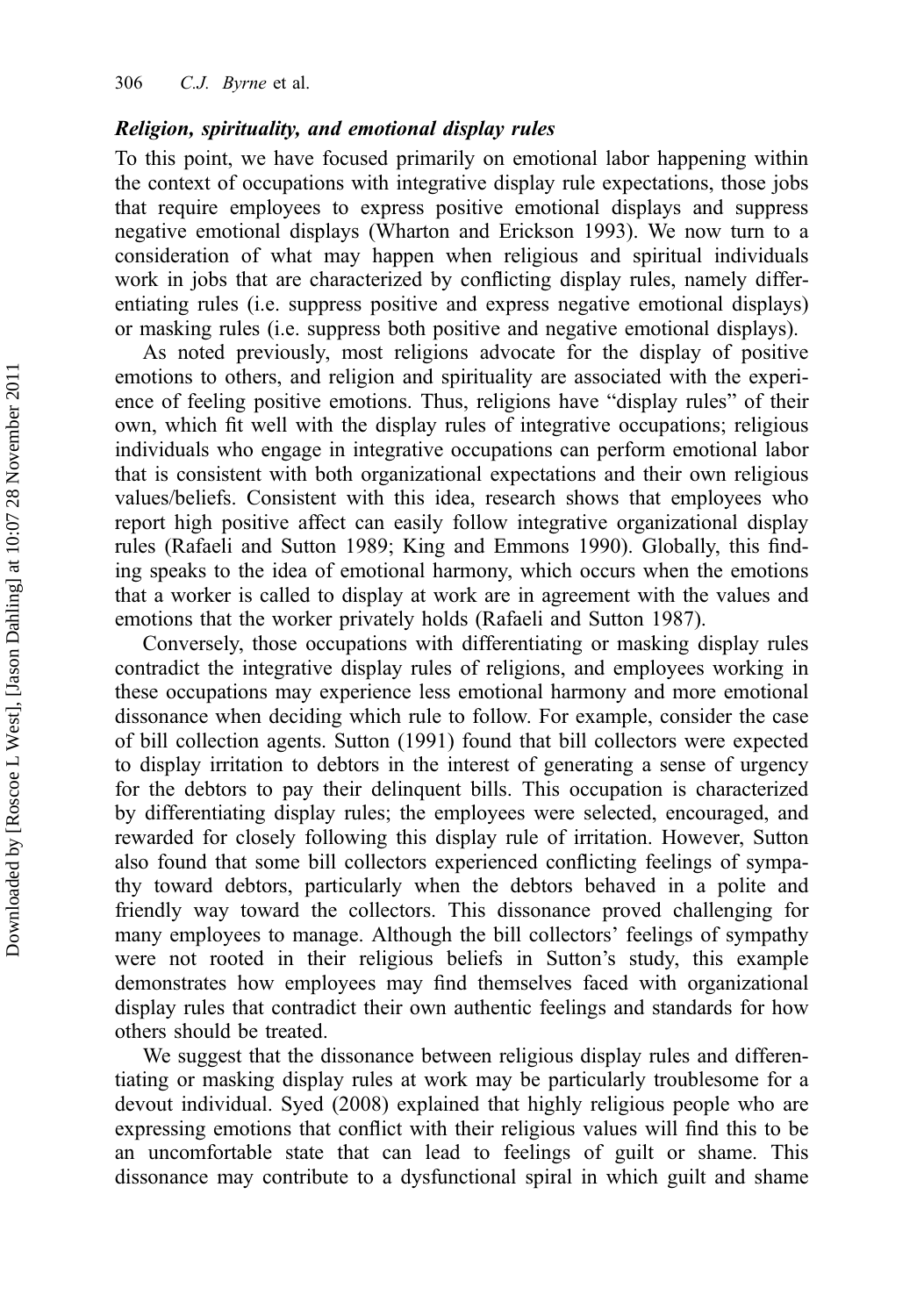#### Religion, spirituality, and emotional display rules

To this point, we have focused primarily on emotional labor happening within the context of occupations with integrative display rule expectations, those jobs that require employees to express positive emotional displays and suppress negative emotional displays (Wharton and Erickson 1993). We now turn to a consideration of what may happen when religious and spiritual individuals work in jobs that are characterized by conflicting display rules, namely differentiating rules (i.e. suppress positive and express negative emotional displays) or masking rules (i.e. suppress both positive and negative emotional displays).

As noted previously, most religions advocate for the display of positive emotions to others, and religion and spirituality are associated with the experience of feeling positive emotions. Thus, religions have "display rules" of their own, which fit well with the display rules of integrative occupations; religious individuals who engage in integrative occupations can perform emotional labor that is consistent with both organizational expectations and their own religious values/beliefs. Consistent with this idea, research shows that employees who report high positive affect can easily follow integrative organizational display rules (Rafaeli and Sutton 1989; King and Emmons 1990). Globally, this finding speaks to the idea of emotional harmony, which occurs when the emotions that a worker is called to display at work are in agreement with the values and emotions that the worker privately holds (Rafaeli and Sutton 1987).

Conversely, those occupations with differentiating or masking display rules contradict the integrative display rules of religions, and employees working in these occupations may experience less emotional harmony and more emotional dissonance when deciding which rule to follow. For example, consider the case of bill collection agents. Sutton (1991) found that bill collectors were expected to display irritation to debtors in the interest of generating a sense of urgency for the debtors to pay their delinquent bills. This occupation is characterized by differentiating display rules; the employees were selected, encouraged, and rewarded for closely following this display rule of irritation. However, Sutton also found that some bill collectors experienced conflicting feelings of sympathy toward debtors, particularly when the debtors behaved in a polite and friendly way toward the collectors. This dissonance proved challenging for many employees to manage. Although the bill collectors' feelings of sympathy were not rooted in their religious beliefs in Sutton's study, this example demonstrates how employees may find themselves faced with organizational display rules that contradict their own authentic feelings and standards for how others should be treated.

We suggest that the dissonance between religious display rules and differentiating or masking display rules at work may be particularly troublesome for a devout individual. Syed (2008) explained that highly religious people who are expressing emotions that conflict with their religious values will find this to be an uncomfortable state that can lead to feelings of guilt or shame. This dissonance may contribute to a dysfunctional spiral in which guilt and shame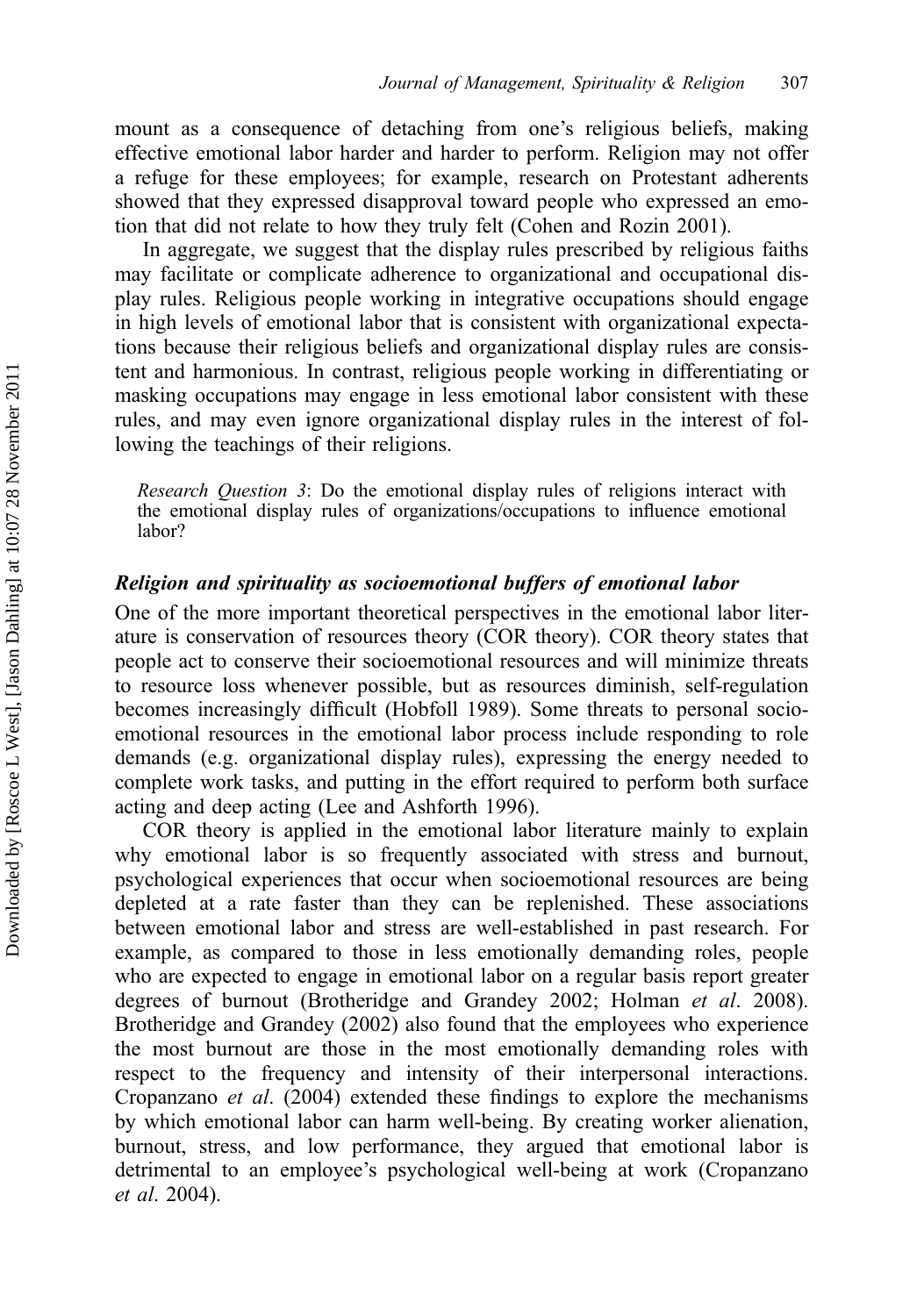mount as a consequence of detaching from one's religious beliefs, making effective emotional labor harder and harder to perform. Religion may not offer a refuge for these employees; for example, research on Protestant adherents showed that they expressed disapproval toward people who expressed an emotion that did not relate to how they truly felt (Cohen and Rozin 2001).

In aggregate, we suggest that the display rules prescribed by religious faiths may facilitate or complicate adherence to organizational and occupational display rules. Religious people working in integrative occupations should engage in high levels of emotional labor that is consistent with organizational expectations because their religious beliefs and organizational display rules are consistent and harmonious. In contrast, religious people working in differentiating or masking occupations may engage in less emotional labor consistent with these rules, and may even ignore organizational display rules in the interest of following the teachings of their religions.

Research Question 3: Do the emotional display rules of religions interact with the emotional display rules of organizations/occupations to influence emotional labor?

## Religion and spirituality as socioemotional buffers of emotional labor

One of the more important theoretical perspectives in the emotional labor literature is conservation of resources theory (COR theory). COR theory states that people act to conserve their socioemotional resources and will minimize threats to resource loss whenever possible, but as resources diminish, self-regulation becomes increasingly difficult (Hobfoll 1989). Some threats to personal socioemotional resources in the emotional labor process include responding to role demands (e.g. organizational display rules), expressing the energy needed to complete work tasks, and putting in the effort required to perform both surface acting and deep acting (Lee and Ashforth 1996).

COR theory is applied in the emotional labor literature mainly to explain why emotional labor is so frequently associated with stress and burnout, psychological experiences that occur when socioemotional resources are being depleted at a rate faster than they can be replenished. These associations between emotional labor and stress are well-established in past research. For example, as compared to those in less emotionally demanding roles, people who are expected to engage in emotional labor on a regular basis report greater degrees of burnout (Brotheridge and Grandey 2002; Holman et al. 2008). Brotheridge and Grandey (2002) also found that the employees who experience the most burnout are those in the most emotionally demanding roles with respect to the frequency and intensity of their interpersonal interactions. Cropanzano et al. (2004) extended these findings to explore the mechanisms by which emotional labor can harm well-being. By creating worker alienation, burnout, stress, and low performance, they argued that emotional labor is detrimental to an employee's psychological well-being at work (Cropanzano et al. 2004).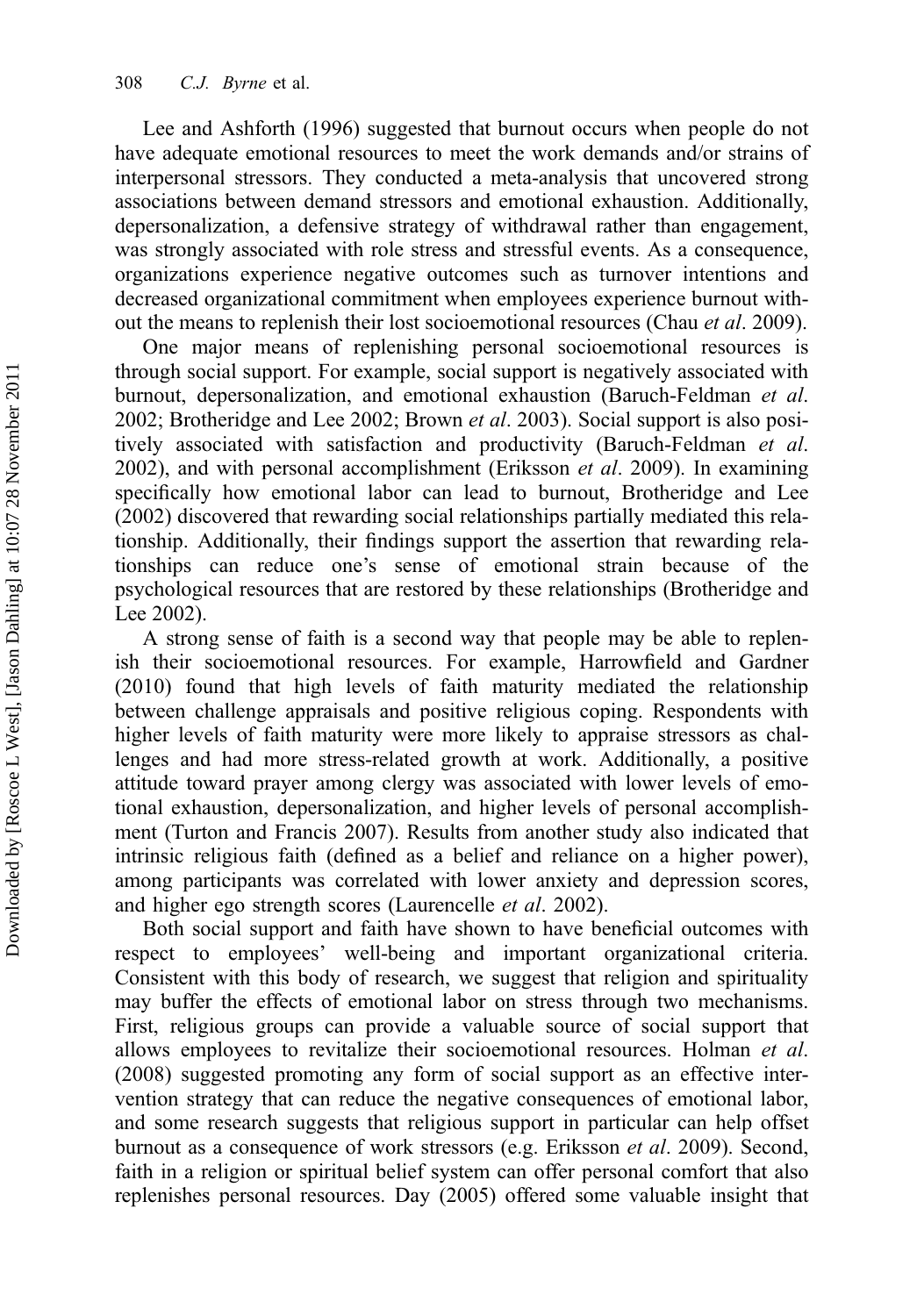Lee and Ashforth (1996) suggested that burnout occurs when people do not have adequate emotional resources to meet the work demands and/or strains of interpersonal stressors. They conducted a meta-analysis that uncovered strong associations between demand stressors and emotional exhaustion. Additionally, depersonalization, a defensive strategy of withdrawal rather than engagement, was strongly associated with role stress and stressful events. As a consequence, organizations experience negative outcomes such as turnover intentions and decreased organizational commitment when employees experience burnout without the means to replenish their lost socioemotional resources (Chau *et al.* 2009).

One major means of replenishing personal socioemotional resources is through social support. For example, social support is negatively associated with burnout, depersonalization, and emotional exhaustion (Baruch-Feldman et al. 2002; Brotheridge and Lee 2002; Brown et al. 2003). Social support is also positively associated with satisfaction and productivity (Baruch-Feldman et al. 2002), and with personal accomplishment (Eriksson et al. 2009). In examining specifically how emotional labor can lead to burnout, Brotheridge and Lee (2002) discovered that rewarding social relationships partially mediated this relationship. Additionally, their findings support the assertion that rewarding relationships can reduce one's sense of emotional strain because of the psychological resources that are restored by these relationships (Brotheridge and Lee 2002).

A strong sense of faith is a second way that people may be able to replenish their socioemotional resources. For example, Harrowfield and Gardner (2010) found that high levels of faith maturity mediated the relationship between challenge appraisals and positive religious coping. Respondents with higher levels of faith maturity were more likely to appraise stressors as challenges and had more stress-related growth at work. Additionally, a positive attitude toward prayer among clergy was associated with lower levels of emotional exhaustion, depersonalization, and higher levels of personal accomplishment (Turton and Francis 2007). Results from another study also indicated that intrinsic religious faith (defined as a belief and reliance on a higher power), among participants was correlated with lower anxiety and depression scores, and higher ego strength scores (Laurencelle et al. 2002).

Both social support and faith have shown to have beneficial outcomes with respect to employees' well-being and important organizational criteria. Consistent with this body of research, we suggest that religion and spirituality may buffer the effects of emotional labor on stress through two mechanisms. First, religious groups can provide a valuable source of social support that allows employees to revitalize their socioemotional resources. Holman *et al.* (2008) suggested promoting any form of social support as an effective intervention strategy that can reduce the negative consequences of emotional labor, and some research suggests that religious support in particular can help offset burnout as a consequence of work stressors (e.g. Eriksson et al. 2009). Second, faith in a religion or spiritual belief system can offer personal comfort that also replenishes personal resources. Day (2005) offered some valuable insight that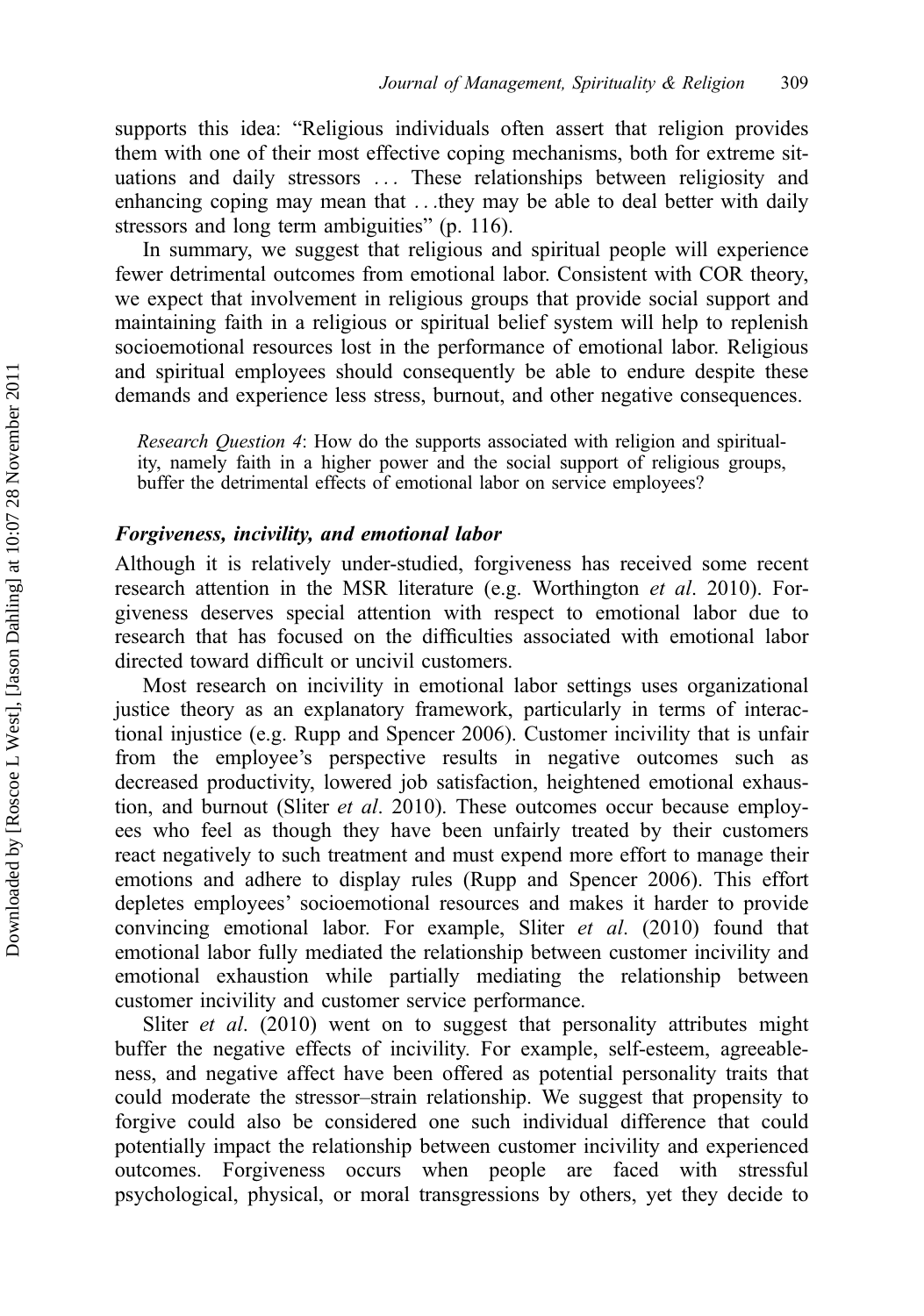supports this idea: "Religious individuals often assert that religion provides them with one of their most effective coping mechanisms, both for extreme situations and daily stressors ... These relationships between religiosity and enhancing coping may mean that ...they may be able to deal better with daily stressors and long term ambiguities" (p. 116).

In summary, we suggest that religious and spiritual people will experience fewer detrimental outcomes from emotional labor. Consistent with COR theory, we expect that involvement in religious groups that provide social support and maintaining faith in a religious or spiritual belief system will help to replenish socioemotional resources lost in the performance of emotional labor. Religious and spiritual employees should consequently be able to endure despite these demands and experience less stress, burnout, and other negative consequences.

Research Question 4: How do the supports associated with religion and spirituality, namely faith in a higher power and the social support of religious groups, buffer the detrimental effects of emotional labor on service employees?

#### Forgiveness, incivility, and emotional labor

Although it is relatively under-studied, forgiveness has received some recent research attention in the MSR literature (e.g. Worthington et al. 2010). Forgiveness deserves special attention with respect to emotional labor due to research that has focused on the difficulties associated with emotional labor directed toward difficult or uncivil customers.

Most research on incivility in emotional labor settings uses organizational justice theory as an explanatory framework, particularly in terms of interactional injustice (e.g. Rupp and Spencer 2006). Customer incivility that is unfair from the employee's perspective results in negative outcomes such as decreased productivity, lowered job satisfaction, heightened emotional exhaustion, and burnout (Sliter *et al.* 2010). These outcomes occur because employees who feel as though they have been unfairly treated by their customers react negatively to such treatment and must expend more effort to manage their emotions and adhere to display rules (Rupp and Spencer 2006). This effort depletes employees' socioemotional resources and makes it harder to provide convincing emotional labor. For example, Sliter et al. (2010) found that emotional labor fully mediated the relationship between customer incivility and emotional exhaustion while partially mediating the relationship between customer incivility and customer service performance.

Sliter *et al.* (2010) went on to suggest that personality attributes might buffer the negative effects of incivility. For example, self-esteem, agreeableness, and negative affect have been offered as potential personality traits that could moderate the stressor–strain relationship. We suggest that propensity to forgive could also be considered one such individual difference that could potentially impact the relationship between customer incivility and experienced outcomes. Forgiveness occurs when people are faced with stressful psychological, physical, or moral transgressions by others, yet they decide to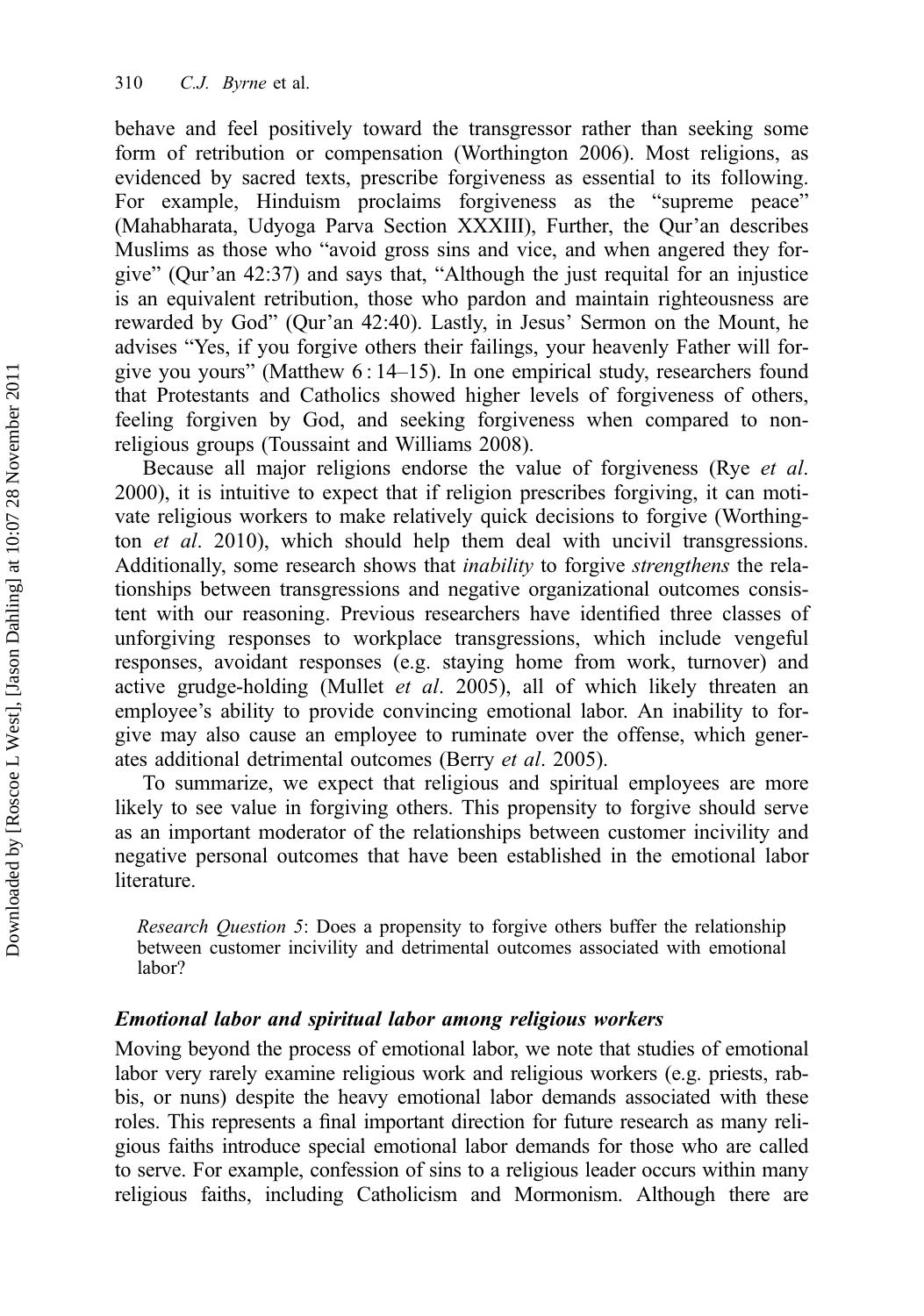behave and feel positively toward the transgressor rather than seeking some form of retribution or compensation (Worthington 2006). Most religions, as evidenced by sacred texts, prescribe forgiveness as essential to its following. For example, Hinduism proclaims forgiveness as the "supreme peace" (Mahabharata, Udyoga Parva Section XXXIII), Further, the Qur'an describes Muslims as those who "avoid gross sins and vice, and when angered they forgive" (Qur'an 42:37) and says that, "Although the just requital for an injustice is an equivalent retribution, those who pardon and maintain righteousness are rewarded by God" (Qur'an 42:40). Lastly, in Jesus' Sermon on the Mount, he advises "Yes, if you forgive others their failings, your heavenly Father will forgive you yours" (Matthew 6 : 14–15). In one empirical study, researchers found that Protestants and Catholics showed higher levels of forgiveness of others, feeling forgiven by God, and seeking forgiveness when compared to nonreligious groups (Toussaint and Williams 2008).

Because all major religions endorse the value of forgiveness (Rye et al. 2000), it is intuitive to expect that if religion prescribes forgiving, it can motivate religious workers to make relatively quick decisions to forgive (Worthington *et al.* 2010), which should help them deal with uncivil transgressions. Additionally, some research shows that inability to forgive strengthens the relationships between transgressions and negative organizational outcomes consistent with our reasoning. Previous researchers have identified three classes of unforgiving responses to workplace transgressions, which include vengeful responses, avoidant responses (e.g. staying home from work, turnover) and active grudge-holding (Mullet et al. 2005), all of which likely threaten an employee's ability to provide convincing emotional labor. An inability to forgive may also cause an employee to ruminate over the offense, which generates additional detrimental outcomes (Berry et al. 2005).

To summarize, we expect that religious and spiritual employees are more likely to see value in forgiving others. This propensity to forgive should serve as an important moderator of the relationships between customer incivility and negative personal outcomes that have been established in the emotional labor literature.

Research Question 5: Does a propensity to forgive others buffer the relationship between customer incivility and detrimental outcomes associated with emotional labor?

### Emotional labor and spiritual labor among religious workers

Moving beyond the process of emotional labor, we note that studies of emotional labor very rarely examine religious work and religious workers (e.g. priests, rabbis, or nuns) despite the heavy emotional labor demands associated with these roles. This represents a final important direction for future research as many religious faiths introduce special emotional labor demands for those who are called to serve. For example, confession of sins to a religious leader occurs within many religious faiths, including Catholicism and Mormonism. Although there are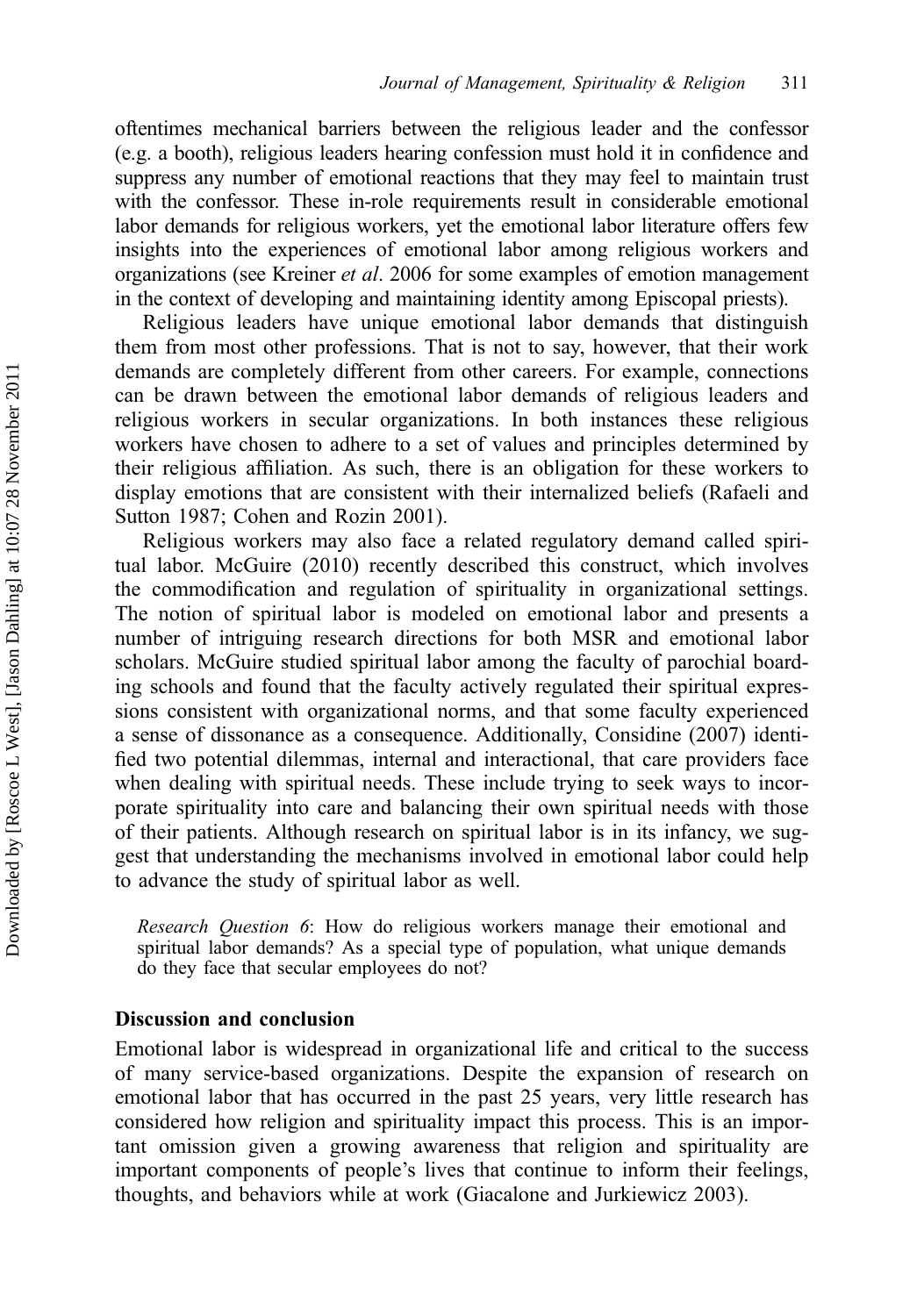oftentimes mechanical barriers between the religious leader and the confessor (e.g. a booth), religious leaders hearing confession must hold it in confidence and suppress any number of emotional reactions that they may feel to maintain trust with the confessor. These in-role requirements result in considerable emotional labor demands for religious workers, yet the emotional labor literature offers few insights into the experiences of emotional labor among religious workers and organizations (see Kreiner et al. 2006 for some examples of emotion management in the context of developing and maintaining identity among Episcopal priests).

Religious leaders have unique emotional labor demands that distinguish them from most other professions. That is not to say, however, that their work demands are completely different from other careers. For example, connections can be drawn between the emotional labor demands of religious leaders and religious workers in secular organizations. In both instances these religious workers have chosen to adhere to a set of values and principles determined by their religious affiliation. As such, there is an obligation for these workers to display emotions that are consistent with their internalized beliefs (Rafaeli and Sutton 1987; Cohen and Rozin 2001).

Religious workers may also face a related regulatory demand called spiritual labor. McGuire (2010) recently described this construct, which involves the commodification and regulation of spirituality in organizational settings. The notion of spiritual labor is modeled on emotional labor and presents a number of intriguing research directions for both MSR and emotional labor scholars. McGuire studied spiritual labor among the faculty of parochial boarding schools and found that the faculty actively regulated their spiritual expressions consistent with organizational norms, and that some faculty experienced a sense of dissonance as a consequence. Additionally, Considine (2007) identified two potential dilemmas, internal and interactional, that care providers face when dealing with spiritual needs. These include trying to seek ways to incorporate spirituality into care and balancing their own spiritual needs with those of their patients. Although research on spiritual labor is in its infancy, we suggest that understanding the mechanisms involved in emotional labor could help to advance the study of spiritual labor as well.

Research Question 6: How do religious workers manage their emotional and spiritual labor demands? As a special type of population, what unique demands do they face that secular employees do not?

#### Discussion and conclusion

Emotional labor is widespread in organizational life and critical to the success of many service-based organizations. Despite the expansion of research on emotional labor that has occurred in the past 25 years, very little research has considered how religion and spirituality impact this process. This is an important omission given a growing awareness that religion and spirituality are important components of people's lives that continue to inform their feelings, thoughts, and behaviors while at work (Giacalone and Jurkiewicz 2003).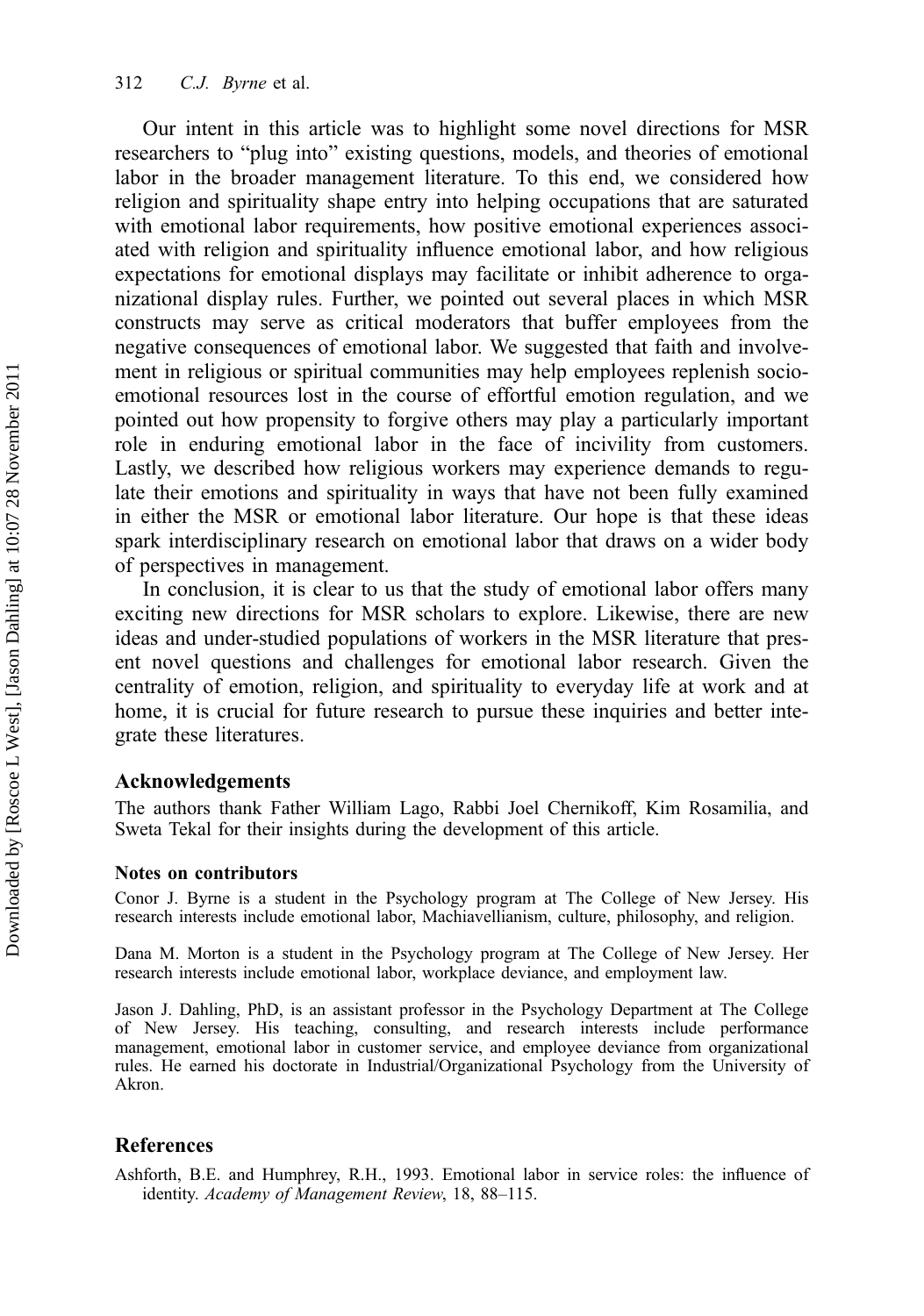Our intent in this article was to highlight some novel directions for MSR researchers to "plug into" existing questions, models, and theories of emotional labor in the broader management literature. To this end, we considered how religion and spirituality shape entry into helping occupations that are saturated with emotional labor requirements, how positive emotional experiences associated with religion and spirituality influence emotional labor, and how religious expectations for emotional displays may facilitate or inhibit adherence to organizational display rules. Further, we pointed out several places in which MSR constructs may serve as critical moderators that buffer employees from the negative consequences of emotional labor. We suggested that faith and involvement in religious or spiritual communities may help employees replenish socioemotional resources lost in the course of effortful emotion regulation, and we pointed out how propensity to forgive others may play a particularly important role in enduring emotional labor in the face of incivility from customers. Lastly, we described how religious workers may experience demands to regulate their emotions and spirituality in ways that have not been fully examined in either the MSR or emotional labor literature. Our hope is that these ideas spark interdisciplinary research on emotional labor that draws on a wider body of perspectives in management.

In conclusion, it is clear to us that the study of emotional labor offers many exciting new directions for MSR scholars to explore. Likewise, there are new ideas and under-studied populations of workers in the MSR literature that present novel questions and challenges for emotional labor research. Given the centrality of emotion, religion, and spirituality to everyday life at work and at home, it is crucial for future research to pursue these inquiries and better integrate these literatures.

#### Acknowledgements

The authors thank Father William Lago, Rabbi Joel Chernikoff, Kim Rosamilia, and Sweta Tekal for their insights during the development of this article.

#### Notes on contributors

Conor J. Byrne is a student in the Psychology program at The College of New Jersey. His research interests include emotional labor, Machiavellianism, culture, philosophy, and religion.

Dana M. Morton is a student in the Psychology program at The College of New Jersey. Her research interests include emotional labor, workplace deviance, and employment law.

Jason J. Dahling, PhD, is an assistant professor in the Psychology Department at The College of New Jersey. His teaching, consulting, and research interests include performance management, emotional labor in customer service, and employee deviance from organizational rules. He earned his doctorate in Industrial/Organizational Psychology from the University of Akron.

#### References

Ashforth, B.E. and Humphrey, R.H., 1993. Emotional labor in service roles: the influence of identity. Academy of Management Review, 18, 88–115.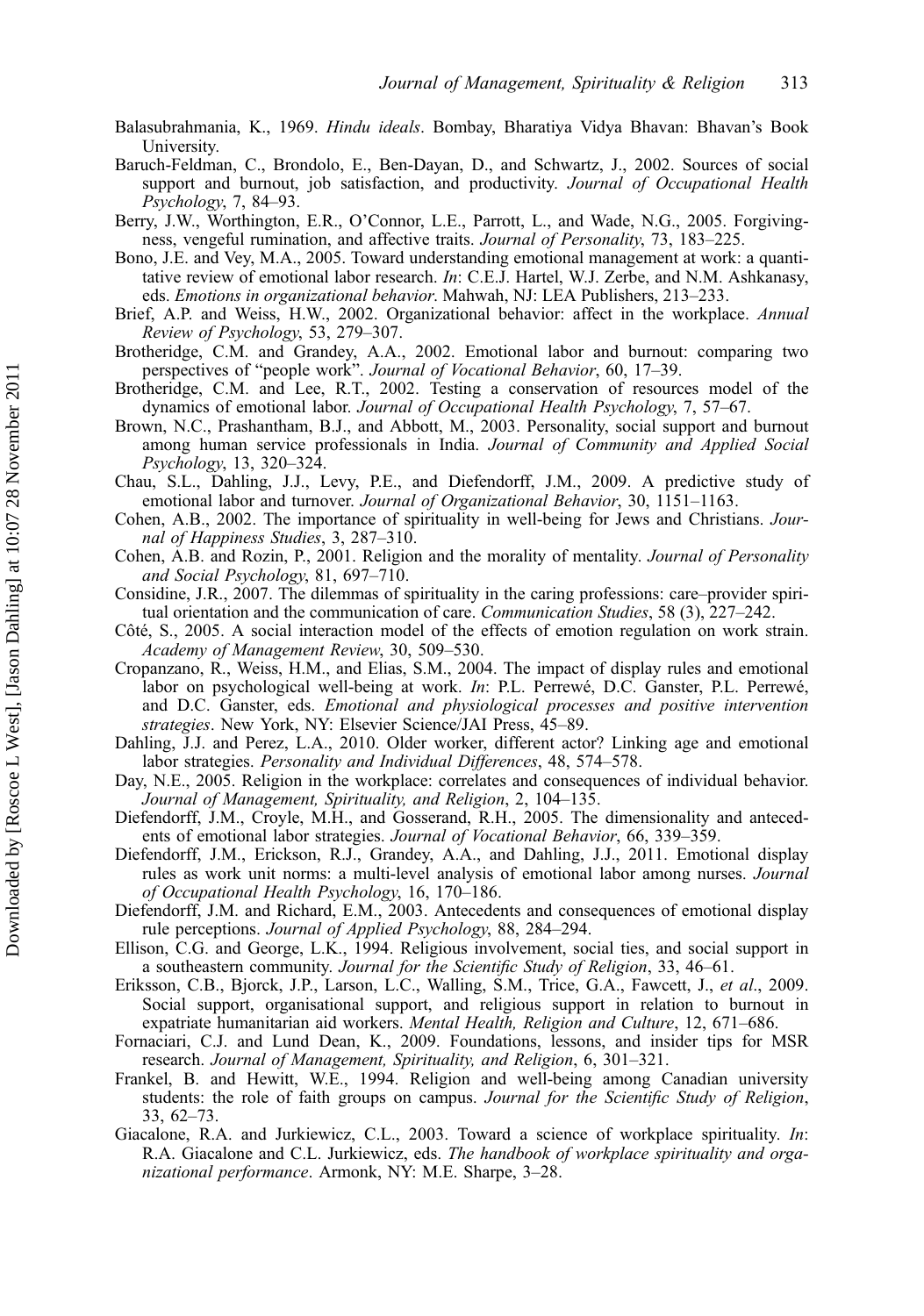- Balasubrahmania, K., 1969. Hindu ideals. Bombay, Bharatiya Vidya Bhavan: Bhavan's Book University.
- Baruch-Feldman, C., Brondolo, E., Ben-Dayan, D., and Schwartz, J., 2002. Sources of social support and burnout, job satisfaction, and productivity. Journal of Occupational Health Psychology, 7, 84–93.
- Berry, J.W., Worthington, E.R., O'Connor, L.E., Parrott, L., and Wade, N.G., 2005. Forgivingness, vengeful rumination, and affective traits. Journal of Personality, 73, 183–225.
- Bono, J.E. and Vey, M.A., 2005. Toward understanding emotional management at work: a quantitative review of emotional labor research. In: C.E.J. Hartel, W.J. Zerbe, and N.M. Ashkanasy, eds. Emotions in organizational behavior. Mahwah, NJ: LEA Publishers, 213–233.
- Brief, A.P. and Weiss, H.W., 2002. Organizational behavior: affect in the workplace. Annual Review of Psychology, 53, 279–307.
- Brotheridge, C.M. and Grandey, A.A., 2002. Emotional labor and burnout: comparing two perspectives of "people work". Journal of Vocational Behavior, 60, 17–39.
- Brotheridge, C.M. and Lee, R.T., 2002. Testing a conservation of resources model of the dynamics of emotional labor. Journal of Occupational Health Psychology, 7, 57–67.
- Brown, N.C., Prashantham, B.J., and Abbott, M., 2003. Personality, social support and burnout among human service professionals in India. Journal of Community and Applied Social Psychology, 13, 320–324.
- Chau, S.L., Dahling, J.J., Levy, P.E., and Diefendorff, J.M., 2009. A predictive study of emotional labor and turnover. Journal of Organizational Behavior, 30, 1151-1163.
- Cohen, A.B., 2002. The importance of spirituality in well-being for Jews and Christians. Journal of Happiness Studies, 3, 287–310.
- Cohen, A.B. and Rozin, P., 2001. Religion and the morality of mentality. Journal of Personality and Social Psychology, 81, 697–710.
- Considine, J.R., 2007. The dilemmas of spirituality in the caring professions: care–provider spiritual orientation and the communication of care. Communication Studies, 58 (3), 227–242.
- Côté, S., 2005. A social interaction model of the effects of emotion regulation on work strain. Academy of Management Review, 30, 509–530.
- Cropanzano, R., Weiss, H.M., and Elias, S.M., 2004. The impact of display rules and emotional labor on psychological well-being at work. In: P.L. Perrewé, D.C. Ganster, P.L. Perrewé, and D.C. Ganster, eds. Emotional and physiological processes and positive intervention strategies. New York, NY: Elsevier Science/JAI Press, 45–89.
- Dahling, J.J. and Perez, L.A., 2010. Older worker, different actor? Linking age and emotional labor strategies. Personality and Individual Differences, 48, 574–578.
- Day, N.E., 2005. Religion in the workplace: correlates and consequences of individual behavior. Journal of Management, Spirituality, and Religion, 2, 104–135.
- Diefendorff, J.M., Croyle, M.H., and Gosserand, R.H., 2005. The dimensionality and antecedents of emotional labor strategies. Journal of Vocational Behavior, 66, 339–359.
- Diefendorff, J.M., Erickson, R.J., Grandey, A.A., and Dahling, J.J., 2011. Emotional display rules as work unit norms: a multi-level analysis of emotional labor among nurses. Journal of Occupational Health Psychology, 16, 170–186.
- Diefendorff, J.M. and Richard, E.M., 2003. Antecedents and consequences of emotional display rule perceptions. Journal of Applied Psychology, 88, 284–294.
- Ellison, C.G. and George, L.K., 1994. Religious involvement, social ties, and social support in a southeastern community. Journal for the Scientific Study of Religion, 33, 46–61.
- Eriksson, C.B., Bjorck, J.P., Larson, L.C., Walling, S.M., Trice, G.A., Fawcett, J., et al., 2009. Social support, organisational support, and religious support in relation to burnout in expatriate humanitarian aid workers. Mental Health, Religion and Culture, 12, 671–686.
- Fornaciari, C.J. and Lund Dean, K., 2009. Foundations, lessons, and insider tips for MSR research. Journal of Management, Spirituality, and Religion, 6, 301–321.
- Frankel, B. and Hewitt, W.E., 1994. Religion and well-being among Canadian university students: the role of faith groups on campus. Journal for the Scientific Study of Religion, 33, 62–73.
- Giacalone, R.A. and Jurkiewicz, C.L., 2003. Toward a science of workplace spirituality. In: R.A. Giacalone and C.L. Jurkiewicz, eds. The handbook of workplace spirituality and organizational performance. Armonk, NY: M.E. Sharpe, 3–28.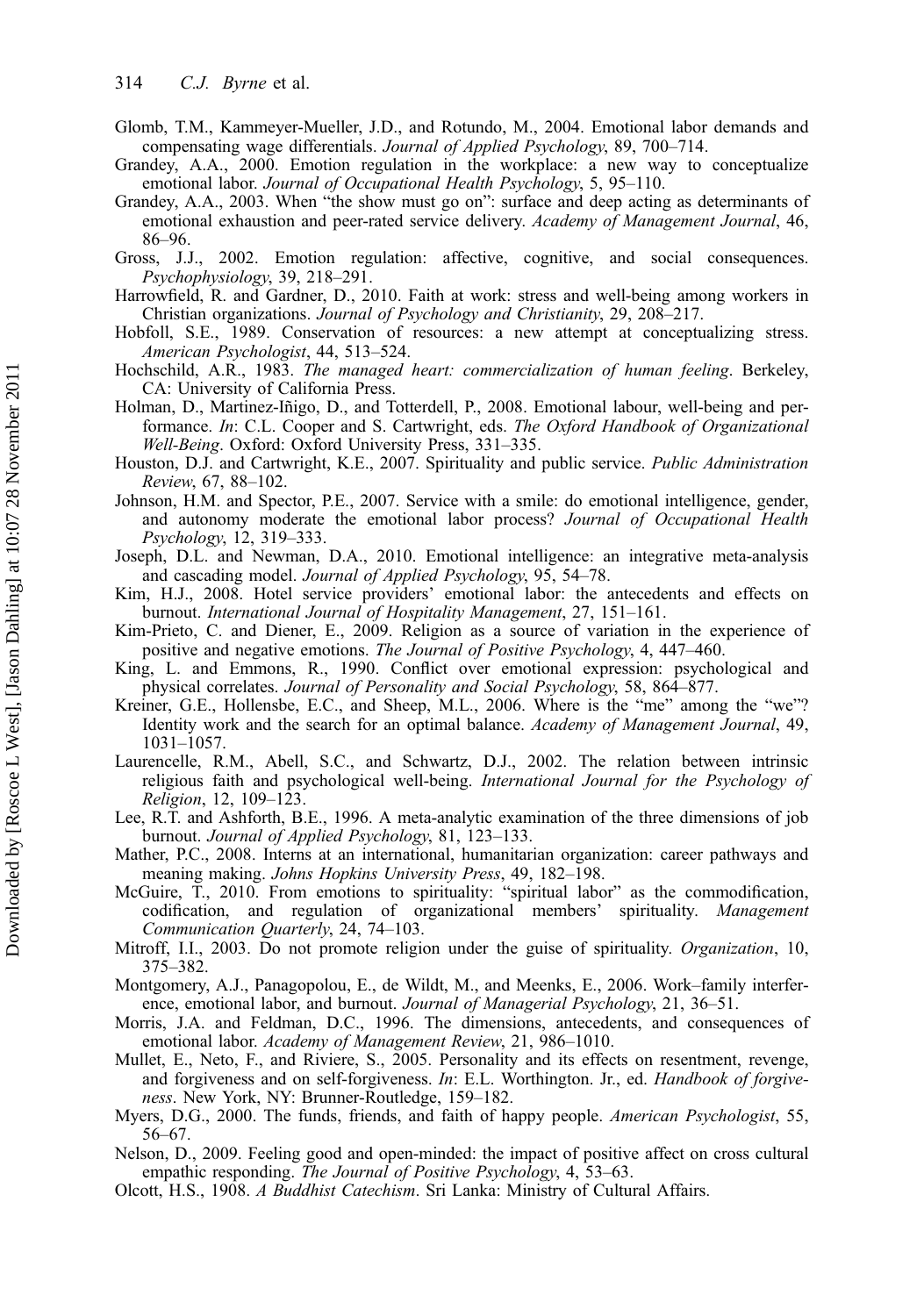- Glomb, T.M., Kammeyer-Mueller, J.D., and Rotundo, M., 2004. Emotional labor demands and compensating wage differentials. Journal of Applied Psychology, 89, 700–714.
- Grandey, A.A., 2000. Emotion regulation in the workplace: a new way to conceptualize emotional labor. Journal of Occupational Health Psychology, 5, 95–110.
- Grandey, A.A., 2003. When "the show must go on": surface and deep acting as determinants of emotional exhaustion and peer-rated service delivery. Academy of Management Journal, 46, 86–96.
- Gross, J.J., 2002. Emotion regulation: affective, cognitive, and social consequences. Psychophysiology, 39, 218–291.
- Harrowfield, R. and Gardner, D., 2010. Faith at work: stress and well-being among workers in Christian organizations. Journal of Psychology and Christianity, 29, 208–217.
- Hobfoll, S.E., 1989. Conservation of resources: a new attempt at conceptualizing stress. American Psychologist, 44, 513–524.
- Hochschild, A.R., 1983. The managed heart: commercialization of human feeling. Berkeley, CA: University of California Press.
- Holman, D., Martinez-Iñigo, D., and Totterdell, P., 2008. Emotional labour, well-being and performance. In: C.L. Cooper and S. Cartwright, eds. The Oxford Handbook of Organizational Well-Being. Oxford: Oxford University Press, 331–335.
- Houston, D.J. and Cartwright, K.E., 2007. Spirituality and public service. Public Administration Review, 67, 88–102.
- Johnson, H.M. and Spector, P.E., 2007. Service with a smile: do emotional intelligence, gender, and autonomy moderate the emotional labor process? Journal of Occupational Health Psychology, 12, 319–333.
- Joseph, D.L. and Newman, D.A., 2010. Emotional intelligence: an integrative meta-analysis and cascading model. Journal of Applied Psychology, 95, 54–78.
- Kim, H.J., 2008. Hotel service providers' emotional labor: the antecedents and effects on burnout. International Journal of Hospitality Management, 27, 151–161.
- Kim-Prieto, C. and Diener, E., 2009. Religion as a source of variation in the experience of positive and negative emotions. The Journal of Positive Psychology, 4, 447–460.
- King, L. and Emmons, R., 1990. Conflict over emotional expression: psychological and physical correlates. Journal of Personality and Social Psychology, 58, 864–877.
- Kreiner, G.E., Hollensbe, E.C., and Sheep, M.L., 2006. Where is the "me" among the "we"? Identity work and the search for an optimal balance. Academy of Management Journal, 49, 1031–1057.
- Laurencelle, R.M., Abell, S.C., and Schwartz, D.J., 2002. The relation between intrinsic religious faith and psychological well-being. International Journal for the Psychology of Religion, 12, 109–123.
- Lee, R.T. and Ashforth, B.E., 1996. A meta-analytic examination of the three dimensions of job burnout. Journal of Applied Psychology, 81, 123–133.
- Mather, P.C., 2008. Interns at an international, humanitarian organization: career pathways and meaning making. Johns Hopkins University Press, 49, 182–198.
- McGuire, T., 2010. From emotions to spirituality: "spiritual labor" as the commodification, codification, and regulation of organizational members' spirituality. Management Communication Quarterly, 24, 74–103.
- Mitroff, I.I., 2003. Do not promote religion under the guise of spirituality. Organization, 10, 375–382.
- Montgomery, A.J., Panagopolou, E., de Wildt, M., and Meenks, E., 2006. Work–family interference, emotional labor, and burnout. Journal of Managerial Psychology, 21, 36–51.
- Morris, J.A. and Feldman, D.C., 1996. The dimensions, antecedents, and consequences of emotional labor. Academy of Management Review, 21, 986–1010.
- Mullet, E., Neto, F., and Riviere, S., 2005. Personality and its effects on resentment, revenge, and forgiveness and on self-forgiveness. In: E.L. Worthington. Jr., ed. Handbook of forgiveness. New York, NY: Brunner-Routledge, 159–182.
- Myers, D.G., 2000. The funds, friends, and faith of happy people. American Psychologist, 55, 56–67.
- Nelson, D., 2009. Feeling good and open-minded: the impact of positive affect on cross cultural empathic responding. The Journal of Positive Psychology, 4, 53–63.
- Olcott, H.S., 1908. A Buddhist Catechism. Sri Lanka: Ministry of Cultural Affairs.